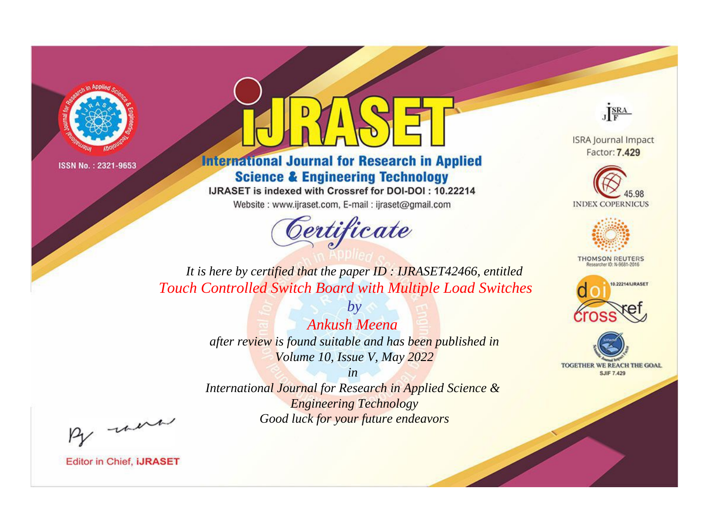



**International Journal for Research in Applied Science & Engineering Technology** 

IJRASET is indexed with Crossref for DOI-DOI: 10.22214

Website: www.ijraset.com, E-mail: ijraset@gmail.com



JERA

**ISRA Journal Impact** Factor: 7.429





**THOMSON REUTERS** 



TOGETHER WE REACH THE GOAL **SJIF 7.429** 

*It is here by certified that the paper ID : IJRASET42466, entitled Touch Controlled Switch Board with Multiple Load Switches*

> *Ankush Meena after review is found suitable and has been published in Volume 10, Issue V, May 2022*

*by*

*in* 

*International Journal for Research in Applied Science & Engineering Technology Good luck for your future endeavors*

By morn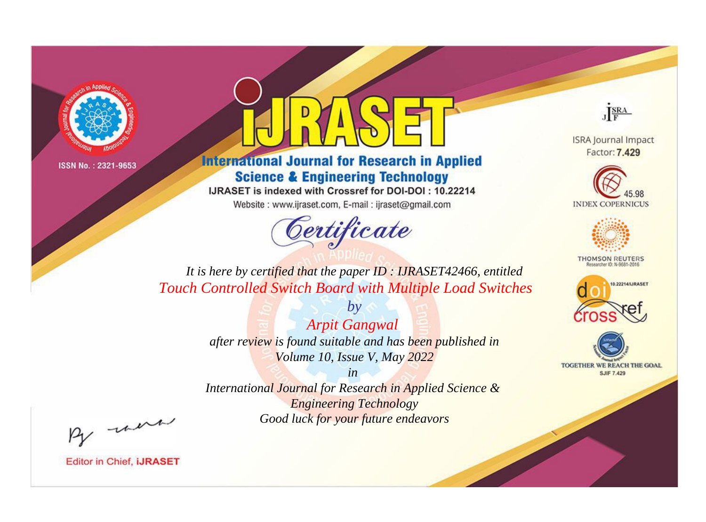



**International Journal for Research in Applied Science & Engineering Technology** 

IJRASET is indexed with Crossref for DOI-DOI: 10.22214

Website: www.ijraset.com, E-mail: ijraset@gmail.com



JERA

**ISRA Journal Impact** Factor: 7.429





**THOMSON REUTERS** 



TOGETHER WE REACH THE GOAL **SJIF 7.429** 

*It is here by certified that the paper ID : IJRASET42466, entitled Touch Controlled Switch Board with Multiple Load Switches*

> *by Arpit Gangwal after review is found suitable and has been published in Volume 10, Issue V, May 2022*

> > *in*

*International Journal for Research in Applied Science & Engineering Technology Good luck for your future endeavors*

By morn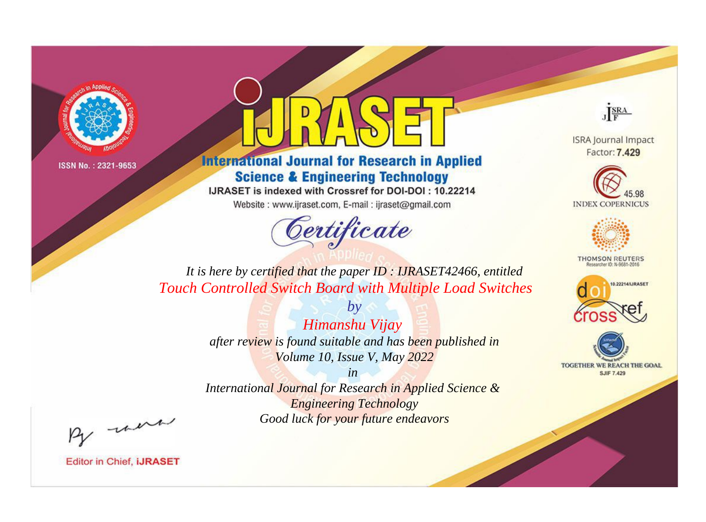



**International Journal for Research in Applied Science & Engineering Technology** 

IJRASET is indexed with Crossref for DOI-DOI: 10.22214

Website: www.ijraset.com, E-mail: ijraset@gmail.com



JERA

**ISRA Journal Impact** Factor: 7.429





**THOMSON REUTERS** 



TOGETHER WE REACH THE GOAL **SJIF 7.429** 

*It is here by certified that the paper ID : IJRASET42466, entitled Touch Controlled Switch Board with Multiple Load Switches*

> *by Himanshu Vijay after review is found suitable and has been published in Volume 10, Issue V, May 2022*

> > *in*

*International Journal for Research in Applied Science & Engineering Technology Good luck for your future endeavors*

By morn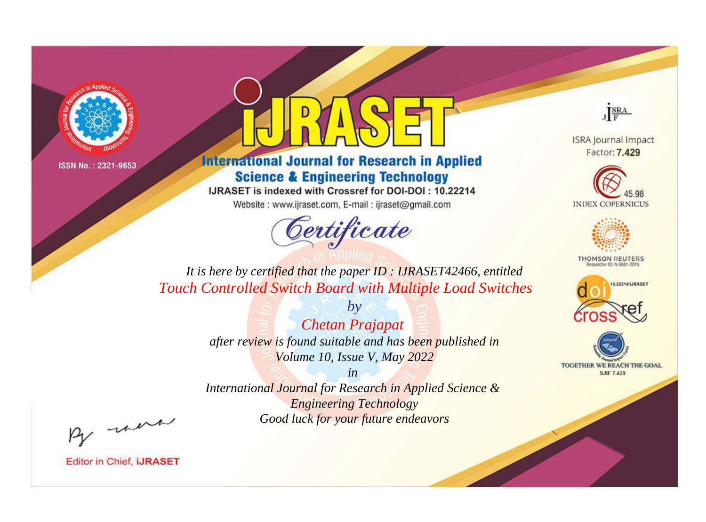



**International Journal for Research in Applied Science & Engineering Technology** 

IJRASET is indexed with Crossref for DOI-DOI: 10.22214

Website: www.ijraset.com, E-mail: ijraset@gmail.com



JERA

**ISRA Journal Impact** Factor: 7.429





**THOMSON REUTERS** 



TOGETHER WE REACH THE GOAL **SJIF 7.429** 

*It is here by certified that the paper ID : IJRASET42466, entitled Touch Controlled Switch Board with Multiple Load Switches*

> *by Chetan Prajapat after review is found suitable and has been published in Volume 10, Issue V, May 2022*

> > *in*

*International Journal for Research in Applied Science & Engineering Technology Good luck for your future endeavors*

By morn